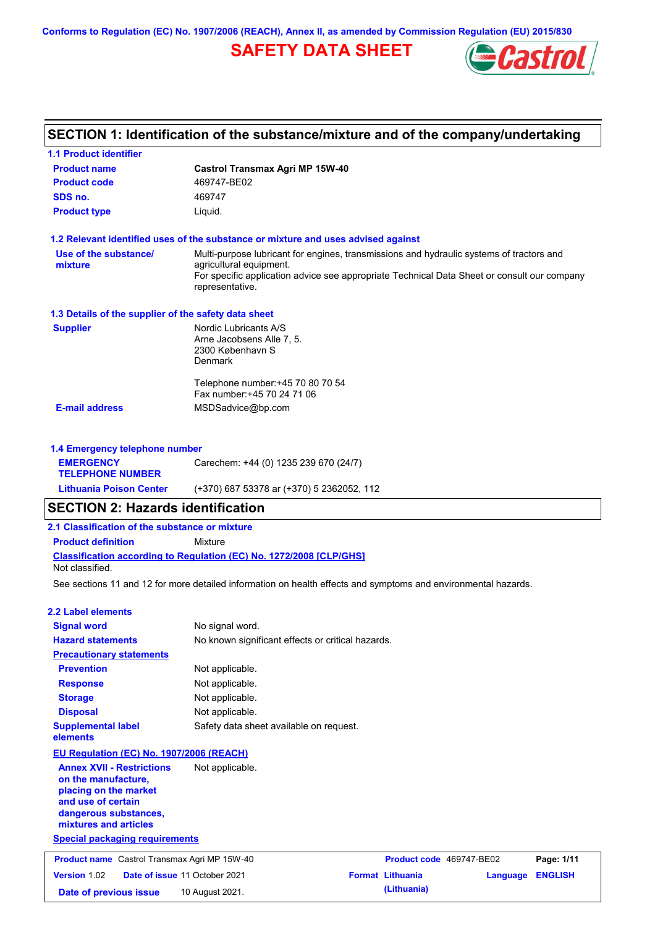**Conforms to Regulation (EC) No. 1907/2006 (REACH), Annex II, as amended by Commission Regulation (EU) 2015/830**

## **SAFETY DATA SHEET**



### **Castrol Transmax Agri MP 15W-40 Product name 1.1 Product identifier 1.3 Details of the supplier of the safety data sheet Product type Liquid. E-mail address** MSDSadvice@bp.com **1.2 Relevant identified uses of the substance or mixture and uses advised against SECTION 1: Identification of the substance/mixture and of the company/undertaking Product code 469747-BE02 1.4 Emergency telephone number EMERGENCY TELEPHONE NUMBER** Carechem: +44 (0) 1235 239 670 (24/7) **Supplier** Nordic Lubricants A/S Arne Jacobsens Alle 7, 5. 2300 København S Denmark Telephone number:+45 70 80 70 54 Fax number:+45 70 24 71 06 **SDS no.** 469747 **Use of the substance/ mixture** Multi-purpose lubricant for engines, transmissions and hydraulic systems of tractors and agricultural equipment. For specific application advice see appropriate Technical Data Sheet or consult our company representative. **Lithuania Poison Center** (+370) 687 53378 ar (+370) 5 2362052, 112 See sections 11 and 12 for more detailed information on health effects and symptoms and environmental hazards. **Classification according to Regulation (EC) No. 1272/2008 [CLP/GHS] SECTION 2: Hazards identification 2.1 Classification of the substance or mixture Product definition** Mixture **2.2 Label elements Signal word Hazard statements Prevention Precautionary statements Response Storage Disposal** No signal word. No known significant effects or critical hazards. Not applicable. Not applicable. Not applicable. Not applicable. **Supplemental label elements** Safety data sheet available on request. Not classified. **EU Regulation (EC) No. 1907/2006 (REACH) Annex XVII - Restrictions**

**Special packaging requirements on the manufacture, placing on the market and use of certain dangerous substances, mixtures and articles** Not applicable.

**Product name** Castrol Transmax Agri MP 15W-40 **Product Code** 469747-BE02 **Page: 1/11 Version** 1.02 **Date of issue** 11 October 2021 **Format Lithuania Language ENGLISH Date of previous issue 10 August 2021. (Lithuania) (Lithuania)**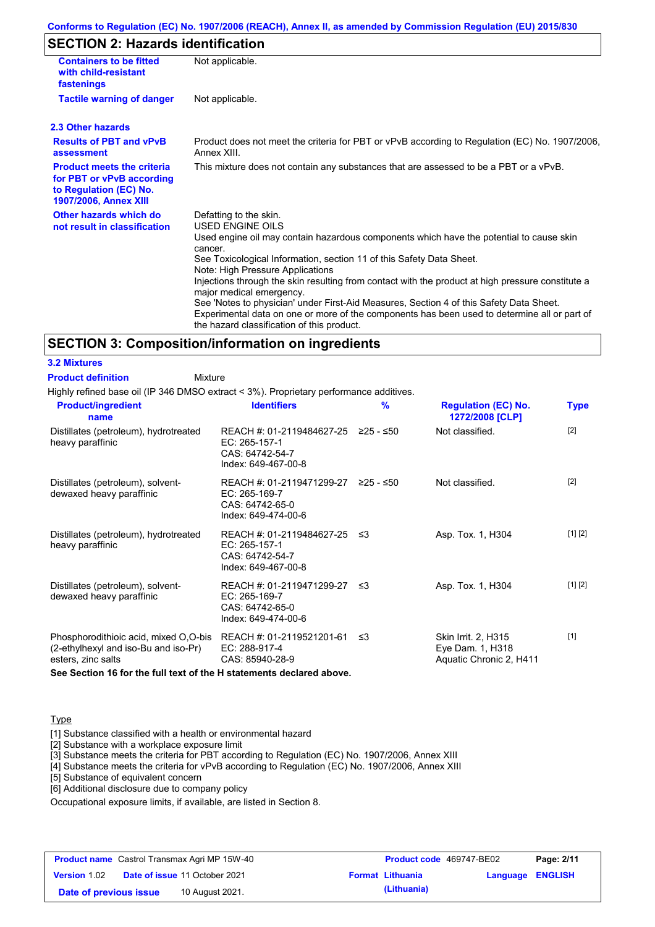### **Conforms to Regulation (EC) No. 1907/2006 (REACH), Annex II, as amended by Commission Regulation (EU) 2015/830**

## **SECTION 2: Hazards identification**

| <b>Containers to be fitted</b><br>with child-resistant<br>fastenings                                                     | Not applicable.                                                                                                                                                                                                                                                                                                                                                                                                                                                                                                                                                                                                                        |
|--------------------------------------------------------------------------------------------------------------------------|----------------------------------------------------------------------------------------------------------------------------------------------------------------------------------------------------------------------------------------------------------------------------------------------------------------------------------------------------------------------------------------------------------------------------------------------------------------------------------------------------------------------------------------------------------------------------------------------------------------------------------------|
| <b>Tactile warning of danger</b>                                                                                         | Not applicable.                                                                                                                                                                                                                                                                                                                                                                                                                                                                                                                                                                                                                        |
| 2.3 Other hazards                                                                                                        |                                                                                                                                                                                                                                                                                                                                                                                                                                                                                                                                                                                                                                        |
| <b>Results of PBT and vPvB</b><br>assessment                                                                             | Product does not meet the criteria for PBT or vPvB according to Regulation (EC) No. 1907/2006,<br>Annex XIII.                                                                                                                                                                                                                                                                                                                                                                                                                                                                                                                          |
| <b>Product meets the criteria</b><br>for PBT or vPvB according<br>to Regulation (EC) No.<br><b>1907/2006, Annex XIII</b> | This mixture does not contain any substances that are assessed to be a PBT or a vPvB.                                                                                                                                                                                                                                                                                                                                                                                                                                                                                                                                                  |
| Other hazards which do<br>not result in classification                                                                   | Defatting to the skin.<br>USED ENGINE OILS<br>Used engine oil may contain hazardous components which have the potential to cause skin<br>cancer.<br>See Toxicological Information, section 11 of this Safety Data Sheet.<br>Note: High Pressure Applications<br>Injections through the skin resulting from contact with the product at high pressure constitute a<br>major medical emergency.<br>See 'Notes to physician' under First-Aid Measures, Section 4 of this Safety Data Sheet.<br>Experimental data on one or more of the components has been used to determine all or part of<br>the hazard classification of this product. |

### **SECTION 3: Composition/information on ingredients**

### **3.2 Mixtures**

Highly refined base oil (IP 346 DMSO extract < 3%). Proprietary performance additives. Distillates (petroleum), hydrotreated REACH #: 01-2119484627-25 **Product/ingredient name % Regulation (EC) No. Identifiers Type** Mixture **Product definition**

| Distillates (petroleum), hydrotreated<br>heavy paraffinic                                           | REACH #: 01-2119484627-25<br>EC: 265-157-1<br>CAS: 64742-54-7<br>Index: 649-467-00-8    | 225 - ≤50 | Not classified.                                                    | $[2]$   |
|-----------------------------------------------------------------------------------------------------|-----------------------------------------------------------------------------------------|-----------|--------------------------------------------------------------------|---------|
| Distillates (petroleum), solvent-<br>dewaxed heavy paraffinic                                       | REACH #: 01-2119471299-27<br>$EC: 265-169-7$<br>CAS: 64742-65-0<br>Index: 649-474-00-6  | ≥25 - ≤50 | Not classified.                                                    | $[2]$   |
| Distillates (petroleum), hydrotreated<br>heavy paraffinic                                           | REACH #: 01-2119484627-25<br>EC: 265-157-1<br>CAS: 64742-54-7<br>Index: 649-467-00-8    | -≤3       | Asp. Tox. 1, H304                                                  | [1] [2] |
| Distillates (petroleum), solvent-<br>dewaxed heavy paraffinic                                       | REACH #: 01-2119471299-27 ≤3<br>EC: 265-169-7<br>CAS: 64742-65-0<br>Index: 649-474-00-6 |           | Asp. Tox. 1, H304                                                  | [1] [2] |
| Phosphorodithioic acid, mixed O,O-bis<br>(2-ethylhexyl and iso-Bu and iso-Pr)<br>esters, zinc salts | REACH #: 01-2119521201-61<br>EC: 288-917-4<br>CAS: 85940-28-9                           | ≤3        | Skin Irrit. 2, H315<br>Eye Dam. 1, H318<br>Aquatic Chronic 2, H411 | $[1]$   |

**1272/2008 [CLP]**

**See Section 16 for the full text of the H statements declared above.**

### Type

[1] Substance classified with a health or environmental hazard

[2] Substance with a workplace exposure limit

[3] Substance meets the criteria for PBT according to Regulation (EC) No. 1907/2006, Annex XIII

[4] Substance meets the criteria for vPvB according to Regulation (EC) No. 1907/2006, Annex XIII

[5] Substance of equivalent concern

[6] Additional disclosure due to company policy

Occupational exposure limits, if available, are listed in Section 8.

| <b>Product name</b> Castrol Transmax Agri MP 15W-40 |  | <b>Product code</b> 469747-BE02      |  | Page: 2/11              |                  |  |
|-----------------------------------------------------|--|--------------------------------------|--|-------------------------|------------------|--|
| <b>Version 1.02</b>                                 |  | <b>Date of issue 11 October 2021</b> |  | <b>Format Lithuania</b> | Language ENGLISH |  |
| Date of previous issue                              |  | 10 August 2021.                      |  | (Lithuania)             |                  |  |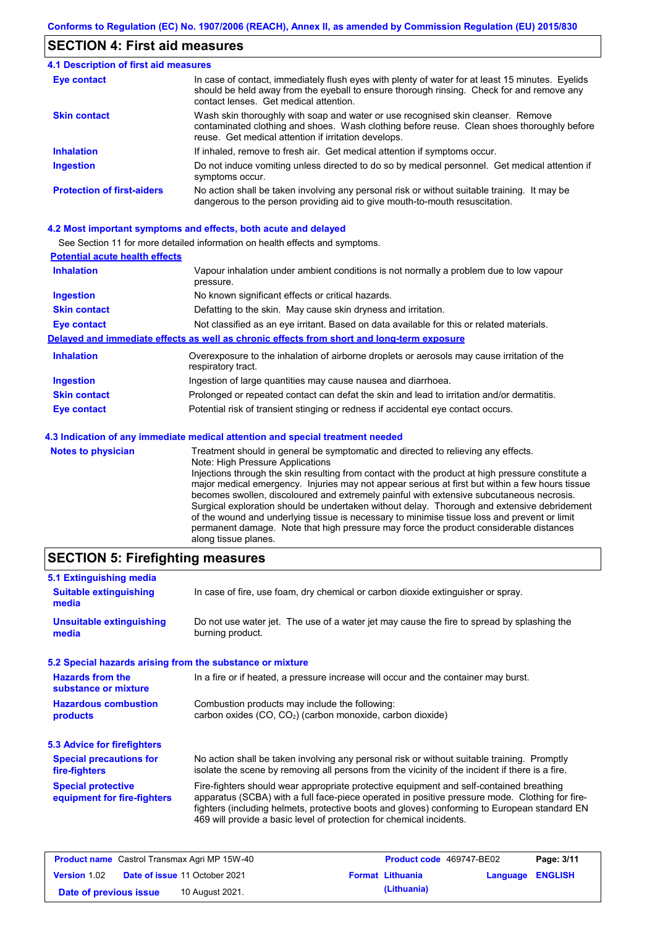### **SECTION 4: First aid measures**

#### Do not induce vomiting unless directed to do so by medical personnel. Get medical attention if symptoms occur. In case of contact, immediately flush eyes with plenty of water for at least 15 minutes. Eyelids should be held away from the eyeball to ensure thorough rinsing. Check for and remove any contact lenses. Get medical attention. **4.1 Description of first aid measures** If inhaled, remove to fresh air. Get medical attention if symptoms occur. **Ingestion Inhalation Eye contact Protection of first-aiders** No action shall be taken involving any personal risk or without suitable training. It may be dangerous to the person providing aid to give mouth-to-mouth resuscitation. **Skin contact** Wash skin thoroughly with soap and water or use recognised skin cleanser. Remove contaminated clothing and shoes. Wash clothing before reuse. Clean shoes thoroughly before reuse. Get medical attention if irritation develops.

### **4.2 Most important symptoms and effects, both acute and delayed**

See Section 11 for more detailed information on health effects and symptoms.

| <b>Potential acute health effects</b> |                                                                                                                   |
|---------------------------------------|-------------------------------------------------------------------------------------------------------------------|
| <b>Inhalation</b>                     | Vapour inhalation under ambient conditions is not normally a problem due to low vapour<br>pressure.               |
| <b>Ingestion</b>                      | No known significant effects or critical hazards.                                                                 |
| <b>Skin contact</b>                   | Defatting to the skin. May cause skin dryness and irritation.                                                     |
| <b>Eye contact</b>                    | Not classified as an eye irritant. Based on data available for this or related materials.                         |
|                                       | Delayed and immediate effects as well as chronic effects from short and long-term exposure                        |
| <b>Inhalation</b>                     | Overexposure to the inhalation of airborne droplets or aerosols may cause irritation of the<br>respiratory tract. |
| <b>Ingestion</b>                      | Ingestion of large quantities may cause nausea and diarrhoea.                                                     |
| <b>Skin contact</b>                   | Prolonged or repeated contact can defat the skin and lead to irritation and/or dermatitis.                        |
| Eye contact                           | Potential risk of transient stinging or redness if accidental eye contact occurs.                                 |
|                                       | 4.3 Indication of any immediate medical attention and special treatment needed                                    |
| Notes to physician                    | Treatment should in general he symptomatic and directed to relieving any effects                                  |

**es to physician** Treatment should in general be symptomatic and directed to relieving any effects. Note: High Pressure Applications Injections through the skin resulting from contact with the product at high pressure constitute a major medical emergency. Injuries may not appear serious at first but within a few hours tissue becomes swollen, discoloured and extremely painful with extensive subcutaneous necrosis. Surgical exploration should be undertaken without delay. Thorough and extensive debridement of the wound and underlying tissue is necessary to minimise tissue loss and prevent or limit permanent damage. Note that high pressure may force the product considerable distances along tissue planes.

### **SECTION 5: Firefighting measures**

| 5.1 Extinguishing media                                   |                                                                                                                                                                                                                                                                                                                                                                   |  |  |
|-----------------------------------------------------------|-------------------------------------------------------------------------------------------------------------------------------------------------------------------------------------------------------------------------------------------------------------------------------------------------------------------------------------------------------------------|--|--|
| <b>Suitable extinguishing</b><br>media                    | In case of fire, use foam, dry chemical or carbon dioxide extinguisher or spray.                                                                                                                                                                                                                                                                                  |  |  |
| <b>Unsuitable extinguishing</b><br>media                  | Do not use water jet. The use of a water jet may cause the fire to spread by splashing the<br>burning product.                                                                                                                                                                                                                                                    |  |  |
| 5.2 Special hazards arising from the substance or mixture |                                                                                                                                                                                                                                                                                                                                                                   |  |  |
| <b>Hazards from the</b><br>substance or mixture           | In a fire or if heated, a pressure increase will occur and the container may burst.                                                                                                                                                                                                                                                                               |  |  |
| <b>Hazardous combustion</b><br>products                   | Combustion products may include the following:<br>carbon oxides (CO, CO <sub>2</sub> ) (carbon monoxide, carbon dioxide)                                                                                                                                                                                                                                          |  |  |
| 5.3 Advice for firefighters                               |                                                                                                                                                                                                                                                                                                                                                                   |  |  |
| <b>Special precautions for</b><br>fire-fighters           | No action shall be taken involving any personal risk or without suitable training. Promptly<br>isolate the scene by removing all persons from the vicinity of the incident if there is a fire.                                                                                                                                                                    |  |  |
| <b>Special protective</b><br>equipment for fire-fighters  | Fire-fighters should wear appropriate protective equipment and self-contained breathing<br>apparatus (SCBA) with a full face-piece operated in positive pressure mode. Clothing for fire-<br>fighters (including helmets, protective boots and gloves) conforming to European standard EN<br>469 will provide a basic level of protection for chemical incidents. |  |  |

| <b>Product name</b> Castrol Transmax Agri MP 15W-40 |  | <b>Product code</b> 469747-BE02      |                         | Page: 3/11              |  |
|-----------------------------------------------------|--|--------------------------------------|-------------------------|-------------------------|--|
| <b>Version 1.02</b>                                 |  | <b>Date of issue 11 October 2021</b> | <b>Format Lithuania</b> | <b>Language ENGLISH</b> |  |
| Date of previous issue                              |  | 10 August 2021.                      | (Lithuania)             |                         |  |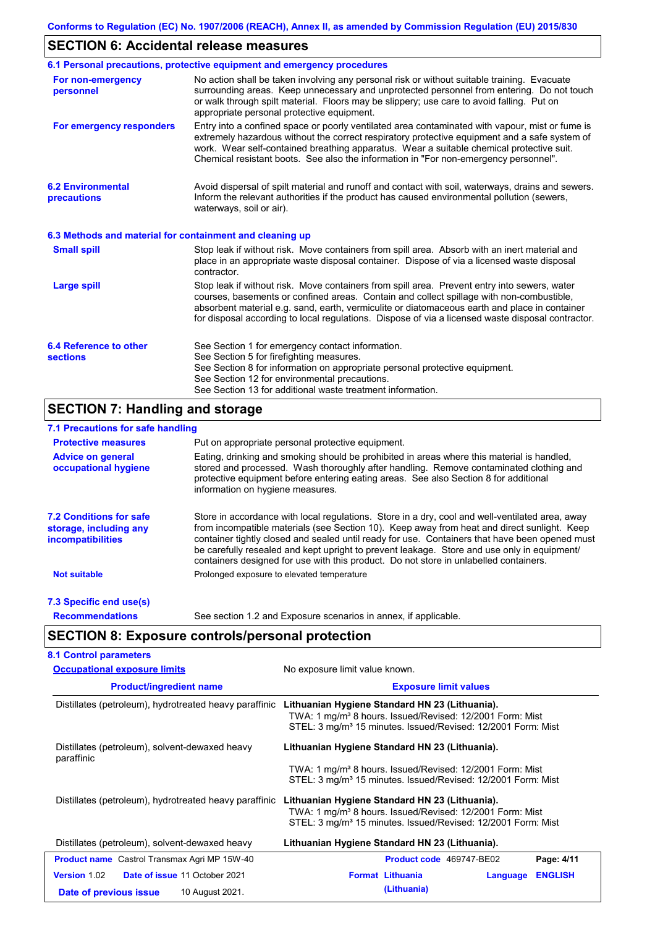## **SECTION 6: Accidental release measures**

|                                                          | 6.1 Personal precautions, protective equipment and emergency procedures                                                                                                                                                                                                                                                                                                                        |  |  |
|----------------------------------------------------------|------------------------------------------------------------------------------------------------------------------------------------------------------------------------------------------------------------------------------------------------------------------------------------------------------------------------------------------------------------------------------------------------|--|--|
| For non-emergency<br>personnel                           | No action shall be taken involving any personal risk or without suitable training. Evacuate<br>surrounding areas. Keep unnecessary and unprotected personnel from entering. Do not touch<br>or walk through spilt material. Floors may be slippery; use care to avoid falling. Put on<br>appropriate personal protective equipment.                                                            |  |  |
| For emergency responders                                 | Entry into a confined space or poorly ventilated area contaminated with vapour, mist or fume is<br>extremely hazardous without the correct respiratory protective equipment and a safe system of<br>work. Wear self-contained breathing apparatus. Wear a suitable chemical protective suit.<br>Chemical resistant boots. See also the information in "For non-emergency personnel".           |  |  |
| <b>6.2 Environmental</b><br>precautions                  | Avoid dispersal of spilt material and runoff and contact with soil, waterways, drains and sewers.<br>Inform the relevant authorities if the product has caused environmental pollution (sewers,<br>waterways, soil or air).                                                                                                                                                                    |  |  |
| 6.3 Methods and material for containment and cleaning up |                                                                                                                                                                                                                                                                                                                                                                                                |  |  |
| <b>Small spill</b>                                       | Stop leak if without risk. Move containers from spill area. Absorb with an inert material and<br>place in an appropriate waste disposal container. Dispose of via a licensed waste disposal<br>contractor.                                                                                                                                                                                     |  |  |
| <b>Large spill</b>                                       | Stop leak if without risk. Move containers from spill area. Prevent entry into sewers, water<br>courses, basements or confined areas. Contain and collect spillage with non-combustible,<br>absorbent material e.g. sand, earth, vermiculite or diatomaceous earth and place in container<br>for disposal according to local regulations. Dispose of via a licensed waste disposal contractor. |  |  |
| 6.4 Reference to other<br><b>sections</b>                | See Section 1 for emergency contact information.<br>See Section 5 for firefighting measures.<br>See Section 8 for information on appropriate personal protective equipment.<br>See Section 12 for environmental precautions.<br>See Section 13 for additional waste treatment information.                                                                                                     |  |  |

## **SECTION 7: Handling and storage**

## **7.1 Precautions for safe handling**

| <b>Protective measures</b>                                                           | Put on appropriate personal protective equipment.                                                                                                                                                                                                                                                                                                                                                                                                                                        |
|--------------------------------------------------------------------------------------|------------------------------------------------------------------------------------------------------------------------------------------------------------------------------------------------------------------------------------------------------------------------------------------------------------------------------------------------------------------------------------------------------------------------------------------------------------------------------------------|
| <b>Advice on general</b><br>occupational hygiene                                     | Eating, drinking and smoking should be prohibited in areas where this material is handled,<br>stored and processed. Wash thoroughly after handling. Remove contaminated clothing and<br>protective equipment before entering eating areas. See also Section 8 for additional<br>information on hygiene measures.                                                                                                                                                                         |
| <b>7.2 Conditions for safe</b><br>storage, including any<br><i>incompatibilities</i> | Store in accordance with local requiations. Store in a dry, cool and well-ventilated area, away<br>from incompatible materials (see Section 10). Keep away from heat and direct sunlight. Keep<br>container tightly closed and sealed until ready for use. Containers that have been opened must<br>be carefully resealed and kept upright to prevent leakage. Store and use only in equipment/<br>containers designed for use with this product. Do not store in unlabelled containers. |
| <b>Not suitable</b>                                                                  | Prolonged exposure to elevated temperature                                                                                                                                                                                                                                                                                                                                                                                                                                               |
| 7.3 Specific end use(s)                                                              |                                                                                                                                                                                                                                                                                                                                                                                                                                                                                          |
| <b>Recommendations</b>                                                               | See section 1.2 and Exposure scenarios in annex, if applicable.                                                                                                                                                                                                                                                                                                                                                                                                                          |

# **SECTION 8: Exposure controls/personal protection**

| <b>Occupational exposure limits</b>                          | No exposure limit value known.<br><b>Exposure limit values</b>                                                                                                                                     |  |  |
|--------------------------------------------------------------|----------------------------------------------------------------------------------------------------------------------------------------------------------------------------------------------------|--|--|
| <b>Product/ingredient name</b>                               |                                                                                                                                                                                                    |  |  |
| Distillates (petroleum), hydrotreated heavy paraffinic       | Lithuanian Hygiene Standard HN 23 (Lithuania).<br>TWA: 1 mg/m <sup>3</sup> 8 hours. Issued/Revised: 12/2001 Form: Mist<br>STEL: 3 mg/m <sup>3</sup> 15 minutes. Issued/Revised: 12/2001 Form: Mist |  |  |
| Distillates (petroleum), solvent-dewaxed heavy<br>paraffinic | Lithuanian Hygiene Standard HN 23 (Lithuania).                                                                                                                                                     |  |  |
|                                                              | TWA: 1 mg/m <sup>3</sup> 8 hours. Issued/Revised: 12/2001 Form: Mist<br>STEL: 3 mg/m <sup>3</sup> 15 minutes. Issued/Revised: 12/2001 Form: Mist                                                   |  |  |
| Distillates (petroleum), hydrotreated heavy paraffinic       | Lithuanian Hygiene Standard HN 23 (Lithuania).<br>TWA: 1 mg/m <sup>3</sup> 8 hours. Issued/Revised: 12/2001 Form: Mist<br>STEL: 3 mg/m <sup>3</sup> 15 minutes. Issued/Revised: 12/2001 Form: Mist |  |  |
| Distillates (petroleum), solvent-dewaxed heavy               | Lithuanian Hygiene Standard HN 23 (Lithuania).                                                                                                                                                     |  |  |
| <b>Product name</b> Castrol Transmax Agri MP 15W-40          | Product code 469747-BE02<br>Page: 4/11                                                                                                                                                             |  |  |
| <b>Version 1.02</b><br>Date of issue 11 October 2021         | <b>Format Lithuania</b><br><b>ENGLISH</b><br>Language                                                                                                                                              |  |  |
| 10 August 2021.<br>Date of previous issue                    | (Lithuania)                                                                                                                                                                                        |  |  |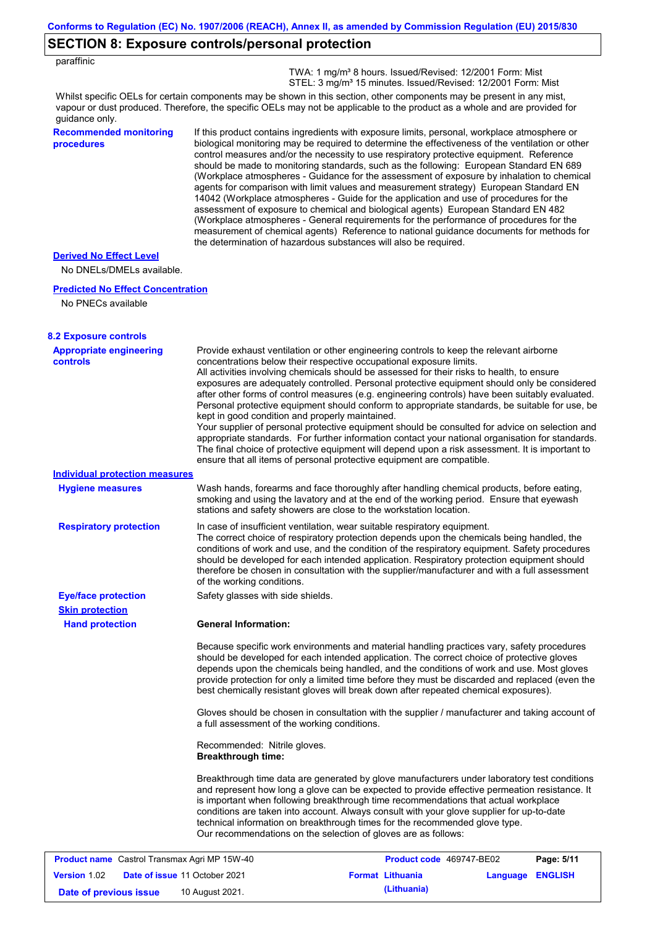## **SECTION 8: Exposure controls/personal protection**

| paraffinic |  |
|------------|--|

 TWA: 1 mg/m³ 8 hours. Issued/Revised: 12/2001 Form: Mist STEL: 3 mg/m<sup>3</sup> 15 minutes. Issued/Revised: 12/2001 Form: Mist

Whilst specific OELs for certain components may be shown in this section, other components may be present in any mist, vapour or dust produced. Therefore, the specific OELs may not be applicable to the product as a whole and are provided for guidance only.

### **Recommended monitoring procedures**

If this product contains ingredients with exposure limits, personal, workplace atmosphere or biological monitoring may be required to determine the effectiveness of the ventilation or other control measures and/or the necessity to use respiratory protective equipment. Reference should be made to monitoring standards, such as the following: European Standard EN 689 (Workplace atmospheres - Guidance for the assessment of exposure by inhalation to chemical agents for comparison with limit values and measurement strategy) European Standard EN 14042 (Workplace atmospheres - Guide for the application and use of procedures for the assessment of exposure to chemical and biological agents) European Standard EN 482 (Workplace atmospheres - General requirements for the performance of procedures for the measurement of chemical agents) Reference to national guidance documents for methods for the determination of hazardous substances will also be required.

#### **Derived No Effect Level**

No DNELs/DMELs available.

#### **Predicted No Effect Concentration**

No PNECs available

| <b>8.2 Exposure controls</b>                        |                                                                                                                                                                                                                                                                                                                                                                                                                                                                                                                                                                                                                                                                                                                                                                                                                                                                                                                                                                                                         |                          |                  |
|-----------------------------------------------------|---------------------------------------------------------------------------------------------------------------------------------------------------------------------------------------------------------------------------------------------------------------------------------------------------------------------------------------------------------------------------------------------------------------------------------------------------------------------------------------------------------------------------------------------------------------------------------------------------------------------------------------------------------------------------------------------------------------------------------------------------------------------------------------------------------------------------------------------------------------------------------------------------------------------------------------------------------------------------------------------------------|--------------------------|------------------|
| <b>Appropriate engineering</b><br><b>controls</b>   | Provide exhaust ventilation or other engineering controls to keep the relevant airborne<br>concentrations below their respective occupational exposure limits.<br>All activities involving chemicals should be assessed for their risks to health, to ensure<br>exposures are adequately controlled. Personal protective equipment should only be considered<br>after other forms of control measures (e.g. engineering controls) have been suitably evaluated.<br>Personal protective equipment should conform to appropriate standards, be suitable for use, be<br>kept in good condition and properly maintained.<br>Your supplier of personal protective equipment should be consulted for advice on selection and<br>appropriate standards. For further information contact your national organisation for standards.<br>The final choice of protective equipment will depend upon a risk assessment. It is important to<br>ensure that all items of personal protective equipment are compatible. |                          |                  |
| <b>Individual protection measures</b>               |                                                                                                                                                                                                                                                                                                                                                                                                                                                                                                                                                                                                                                                                                                                                                                                                                                                                                                                                                                                                         |                          |                  |
| <b>Hygiene measures</b>                             | Wash hands, forearms and face thoroughly after handling chemical products, before eating,<br>smoking and using the lavatory and at the end of the working period. Ensure that eyewash<br>stations and safety showers are close to the workstation location.                                                                                                                                                                                                                                                                                                                                                                                                                                                                                                                                                                                                                                                                                                                                             |                          |                  |
| <b>Respiratory protection</b>                       | In case of insufficient ventilation, wear suitable respiratory equipment.<br>The correct choice of respiratory protection depends upon the chemicals being handled, the<br>conditions of work and use, and the condition of the respiratory equipment. Safety procedures<br>should be developed for each intended application. Respiratory protection equipment should<br>therefore be chosen in consultation with the supplier/manufacturer and with a full assessment<br>of the working conditions.                                                                                                                                                                                                                                                                                                                                                                                                                                                                                                   |                          |                  |
| <b>Eye/face protection</b>                          | Safety glasses with side shields.                                                                                                                                                                                                                                                                                                                                                                                                                                                                                                                                                                                                                                                                                                                                                                                                                                                                                                                                                                       |                          |                  |
| <b>Skin protection</b>                              |                                                                                                                                                                                                                                                                                                                                                                                                                                                                                                                                                                                                                                                                                                                                                                                                                                                                                                                                                                                                         |                          |                  |
| <b>Hand protection</b>                              | <b>General Information:</b>                                                                                                                                                                                                                                                                                                                                                                                                                                                                                                                                                                                                                                                                                                                                                                                                                                                                                                                                                                             |                          |                  |
|                                                     | Because specific work environments and material handling practices vary, safety procedures<br>should be developed for each intended application. The correct choice of protective gloves<br>depends upon the chemicals being handled, and the conditions of work and use. Most gloves<br>provide protection for only a limited time before they must be discarded and replaced (even the<br>best chemically resistant gloves will break down after repeated chemical exposures).                                                                                                                                                                                                                                                                                                                                                                                                                                                                                                                        |                          |                  |
|                                                     | Gloves should be chosen in consultation with the supplier / manufacturer and taking account of<br>a full assessment of the working conditions.                                                                                                                                                                                                                                                                                                                                                                                                                                                                                                                                                                                                                                                                                                                                                                                                                                                          |                          |                  |
|                                                     | Recommended: Nitrile gloves.<br><b>Breakthrough time:</b>                                                                                                                                                                                                                                                                                                                                                                                                                                                                                                                                                                                                                                                                                                                                                                                                                                                                                                                                               |                          |                  |
|                                                     | Breakthrough time data are generated by glove manufacturers under laboratory test conditions<br>and represent how long a glove can be expected to provide effective permeation resistance. It<br>is important when following breakthrough time recommendations that actual workplace<br>conditions are taken into account. Always consult with your glove supplier for up-to-date<br>technical information on breakthrough times for the recommended glove type.<br>Our recommendations on the selection of gloves are as follows:                                                                                                                                                                                                                                                                                                                                                                                                                                                                      |                          |                  |
| <b>Product name</b> Castrol Transmax Agri MP 15W-40 |                                                                                                                                                                                                                                                                                                                                                                                                                                                                                                                                                                                                                                                                                                                                                                                                                                                                                                                                                                                                         | Product code 469747-BE02 | Page: 5/11       |
| <b>Version 1.02</b>                                 | Date of issue 11 October 2021                                                                                                                                                                                                                                                                                                                                                                                                                                                                                                                                                                                                                                                                                                                                                                                                                                                                                                                                                                           | <b>Format Lithuania</b>  | Language ENGLISH |

**Date of previous issue 10 August 2021. (Lithuania) (Lithuania)**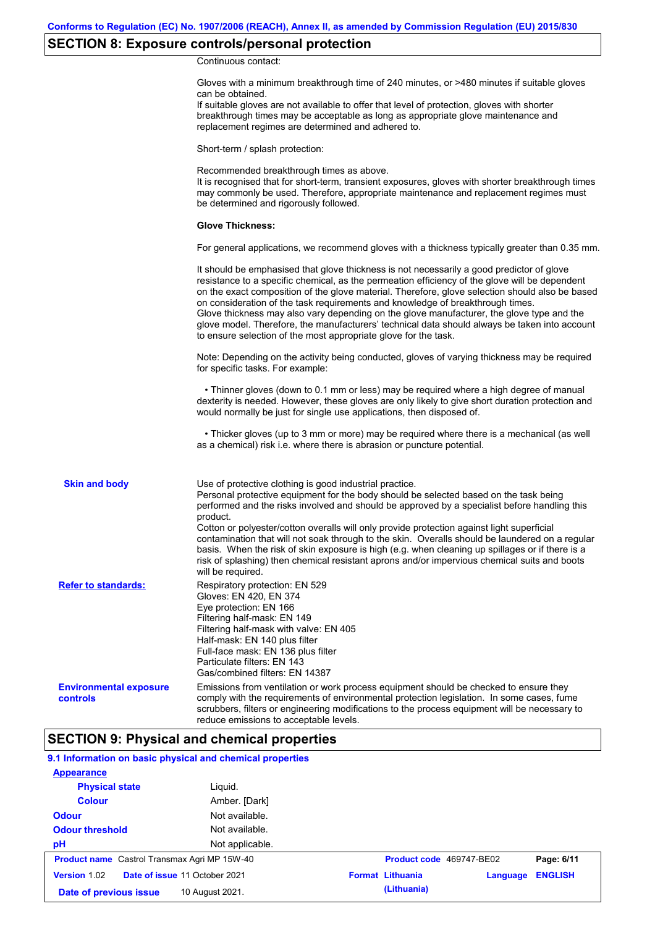## **SECTION 8: Exposure controls/personal protection**

Continuous contact:

|                                           | Gloves with a minimum breakthrough time of 240 minutes, or >480 minutes if suitable gloves<br>can be obtained.<br>If suitable gloves are not available to offer that level of protection, gloves with shorter<br>breakthrough times may be acceptable as long as appropriate glove maintenance and<br>replacement regimes are determined and adhered to.                                                                                                                                                                                                                                                                                                                              |
|-------------------------------------------|---------------------------------------------------------------------------------------------------------------------------------------------------------------------------------------------------------------------------------------------------------------------------------------------------------------------------------------------------------------------------------------------------------------------------------------------------------------------------------------------------------------------------------------------------------------------------------------------------------------------------------------------------------------------------------------|
|                                           | Short-term / splash protection:                                                                                                                                                                                                                                                                                                                                                                                                                                                                                                                                                                                                                                                       |
|                                           | Recommended breakthrough times as above.<br>It is recognised that for short-term, transient exposures, gloves with shorter breakthrough times<br>may commonly be used. Therefore, appropriate maintenance and replacement regimes must<br>be determined and rigorously followed.                                                                                                                                                                                                                                                                                                                                                                                                      |
|                                           | <b>Glove Thickness:</b>                                                                                                                                                                                                                                                                                                                                                                                                                                                                                                                                                                                                                                                               |
|                                           | For general applications, we recommend gloves with a thickness typically greater than 0.35 mm.                                                                                                                                                                                                                                                                                                                                                                                                                                                                                                                                                                                        |
|                                           | It should be emphasised that glove thickness is not necessarily a good predictor of glove<br>resistance to a specific chemical, as the permeation efficiency of the glove will be dependent<br>on the exact composition of the glove material. Therefore, glove selection should also be based<br>on consideration of the task requirements and knowledge of breakthrough times.<br>Glove thickness may also vary depending on the glove manufacturer, the glove type and the<br>glove model. Therefore, the manufacturers' technical data should always be taken into account<br>to ensure selection of the most appropriate glove for the task.                                     |
|                                           | Note: Depending on the activity being conducted, gloves of varying thickness may be required<br>for specific tasks. For example:                                                                                                                                                                                                                                                                                                                                                                                                                                                                                                                                                      |
|                                           | • Thinner gloves (down to 0.1 mm or less) may be required where a high degree of manual<br>dexterity is needed. However, these gloves are only likely to give short duration protection and<br>would normally be just for single use applications, then disposed of.                                                                                                                                                                                                                                                                                                                                                                                                                  |
|                                           | • Thicker gloves (up to 3 mm or more) may be required where there is a mechanical (as well<br>as a chemical) risk i.e. where there is abrasion or puncture potential.                                                                                                                                                                                                                                                                                                                                                                                                                                                                                                                 |
| <b>Skin and body</b>                      | Use of protective clothing is good industrial practice.<br>Personal protective equipment for the body should be selected based on the task being<br>performed and the risks involved and should be approved by a specialist before handling this<br>product.<br>Cotton or polyester/cotton overalls will only provide protection against light superficial<br>contamination that will not soak through to the skin. Overalls should be laundered on a regular<br>basis. When the risk of skin exposure is high (e.g. when cleaning up spillages or if there is a<br>risk of splashing) then chemical resistant aprons and/or impervious chemical suits and boots<br>will be required. |
| <b>Refer to standards:</b>                | Respiratory protection: EN 529<br>Gloves: EN 420, EN 374<br>Eye protection: EN 166<br>Filtering half-mask: EN 149<br>Filtering half-mask with valve: EN 405<br>Half-mask: EN 140 plus filter<br>Full-face mask: EN 136 plus filter<br>Particulate filters: EN 143<br>Gas/combined filters: EN 14387                                                                                                                                                                                                                                                                                                                                                                                   |
| <b>Environmental exposure</b><br>controls | Emissions from ventilation or work process equipment should be checked to ensure they<br>comply with the requirements of environmental protection legislation. In some cases, fume<br>scrubbers, filters or engineering modifications to the process equipment will be necessary to<br>reduce emissions to acceptable levels.                                                                                                                                                                                                                                                                                                                                                         |

## **SECTION 9: Physical and chemical properties**

## **9.1 Information on basic physical and chemical properties**

| <b>Appearance</b>                                    |                 |                          |          |                |
|------------------------------------------------------|-----------------|--------------------------|----------|----------------|
| <b>Physical state</b>                                | Liguid.         |                          |          |                |
| <b>Colour</b>                                        | Amber. [Dark]   |                          |          |                |
| <b>Odour</b>                                         | Not available.  |                          |          |                |
| <b>Odour threshold</b>                               | Not available.  |                          |          |                |
| pH                                                   | Not applicable. |                          |          |                |
| <b>Product name</b> Castrol Transmax Agri MP 15W-40  |                 | Product code 469747-BE02 |          | Page: 6/11     |
| Date of issue 11 October 2021<br><b>Version 1.02</b> |                 | <b>Format Lithuania</b>  | Language | <b>ENGLISH</b> |
| Date of previous issue                               | 10 August 2021. | (Lithuania)              |          |                |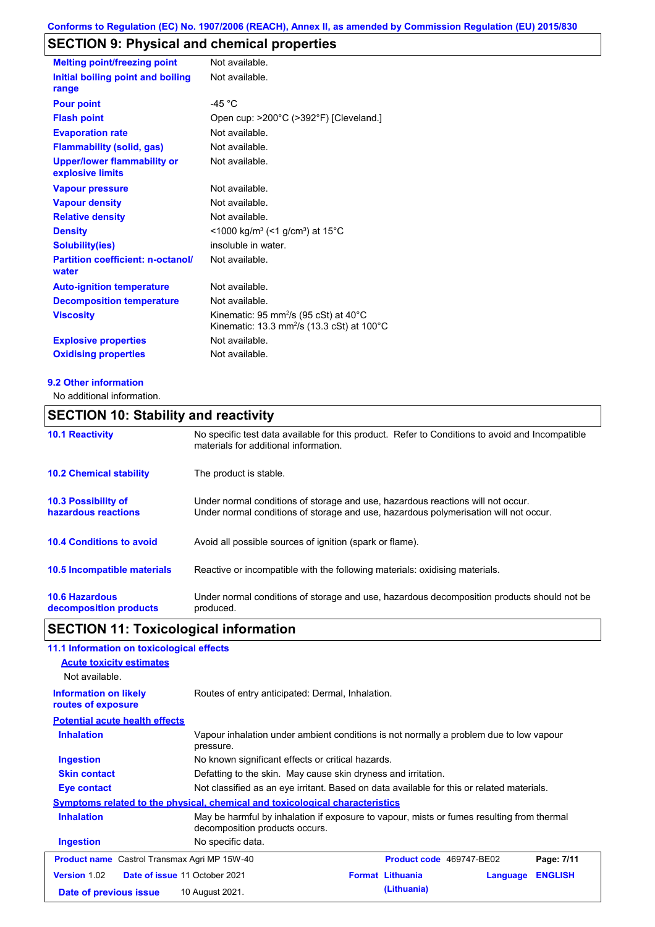# **SECTION 9: Physical and chemical properties**

| <b>Melting point/freezing point</b>                    | Not available.                                                                                                         |
|--------------------------------------------------------|------------------------------------------------------------------------------------------------------------------------|
| Initial boiling point and boiling<br>range             | Not available.                                                                                                         |
| <b>Pour point</b>                                      | -45 $^{\circ}$ C                                                                                                       |
| <b>Flash point</b>                                     | Open cup: >200°C (>392°F) [Cleveland.]                                                                                 |
| <b>Evaporation rate</b>                                | Not available.                                                                                                         |
| <b>Flammability (solid, gas)</b>                       | Not available.                                                                                                         |
| <b>Upper/lower flammability or</b><br>explosive limits | Not available.                                                                                                         |
| <b>Vapour pressure</b>                                 | Not available.                                                                                                         |
| <b>Vapour density</b>                                  | Not available.                                                                                                         |
| <b>Relative density</b>                                | Not available.                                                                                                         |
| <b>Density</b>                                         | $<$ 1000 kg/m <sup>3</sup> (<1 g/cm <sup>3</sup> ) at 15 <sup>°</sup> C                                                |
| <b>Solubility(ies)</b>                                 | insoluble in water.                                                                                                    |
| <b>Partition coefficient: n-octanol/</b><br>water      | Not available.                                                                                                         |
| <b>Auto-ignition temperature</b>                       | Not available.                                                                                                         |
| <b>Decomposition temperature</b>                       | Not available.                                                                                                         |
| <b>Viscosity</b>                                       | Kinematic: 95 mm <sup>2</sup> /s (95 cSt) at 40 $^{\circ}$ C<br>Kinematic: 13.3 mm <sup>2</sup> /s (13.3 cSt) at 100°C |
| <b>Explosive properties</b>                            | Not available.                                                                                                         |
| <b>Oxidising properties</b>                            | Not available.                                                                                                         |

### **9.2 Other information**

No additional information.

## **SECTION 10: Stability and reactivity**

| <b>10.1 Reactivity</b>                            | No specific test data available for this product. Refer to Conditions to avoid and Incompatible<br>materials for additional information.                                |
|---------------------------------------------------|-------------------------------------------------------------------------------------------------------------------------------------------------------------------------|
| <b>10.2 Chemical stability</b>                    | The product is stable.                                                                                                                                                  |
| <b>10.3 Possibility of</b><br>hazardous reactions | Under normal conditions of storage and use, hazardous reactions will not occur.<br>Under normal conditions of storage and use, hazardous polymerisation will not occur. |
| <b>10.4 Conditions to avoid</b>                   | Avoid all possible sources of ignition (spark or flame).                                                                                                                |
| 10.5 Incompatible materials                       | Reactive or incompatible with the following materials: oxidising materials.                                                                                             |
| <b>10.6 Hazardous</b><br>decomposition products   | Under normal conditions of storage and use, hazardous decomposition products should not be<br>produced.                                                                 |

# **SECTION 11: Toxicological information**

| 11.1 Information on toxicological effects            |                                                                                                                             |                                                               |                          |          |                |
|------------------------------------------------------|-----------------------------------------------------------------------------------------------------------------------------|---------------------------------------------------------------|--------------------------|----------|----------------|
| <b>Acute toxicity estimates</b>                      |                                                                                                                             |                                                               |                          |          |                |
| Not available.                                       |                                                                                                                             |                                                               |                          |          |                |
| <b>Information on likely</b><br>routes of exposure   | Routes of entry anticipated: Dermal, Inhalation.                                                                            |                                                               |                          |          |                |
| <b>Potential acute health effects</b>                |                                                                                                                             |                                                               |                          |          |                |
| <b>Inhalation</b>                                    | Vapour inhalation under ambient conditions is not normally a problem due to low vapour<br>pressure.                         |                                                               |                          |          |                |
| <b>Ingestion</b>                                     | No known significant effects or critical hazards.                                                                           |                                                               |                          |          |                |
| <b>Skin contact</b>                                  |                                                                                                                             | Defatting to the skin. May cause skin dryness and irritation. |                          |          |                |
| Eye contact                                          | Not classified as an eye irritant. Based on data available for this or related materials.                                   |                                                               |                          |          |                |
|                                                      | Symptoms related to the physical, chemical and toxicological characteristics                                                |                                                               |                          |          |                |
| <b>Inhalation</b>                                    | May be harmful by inhalation if exposure to vapour, mists or fumes resulting from thermal<br>decomposition products occurs. |                                                               |                          |          |                |
| <b>Ingestion</b>                                     | No specific data.                                                                                                           |                                                               |                          |          |                |
| <b>Product name</b> Castrol Transmax Agri MP 15W-40  |                                                                                                                             |                                                               | Product code 469747-BE02 |          | Page: 7/11     |
| Date of issue 11 October 2021<br><b>Version 1.02</b> |                                                                                                                             |                                                               | <b>Format Lithuania</b>  | Language | <b>ENGLISH</b> |
| Date of previous issue                               | 10 August 2021.                                                                                                             |                                                               | (Lithuania)              |          |                |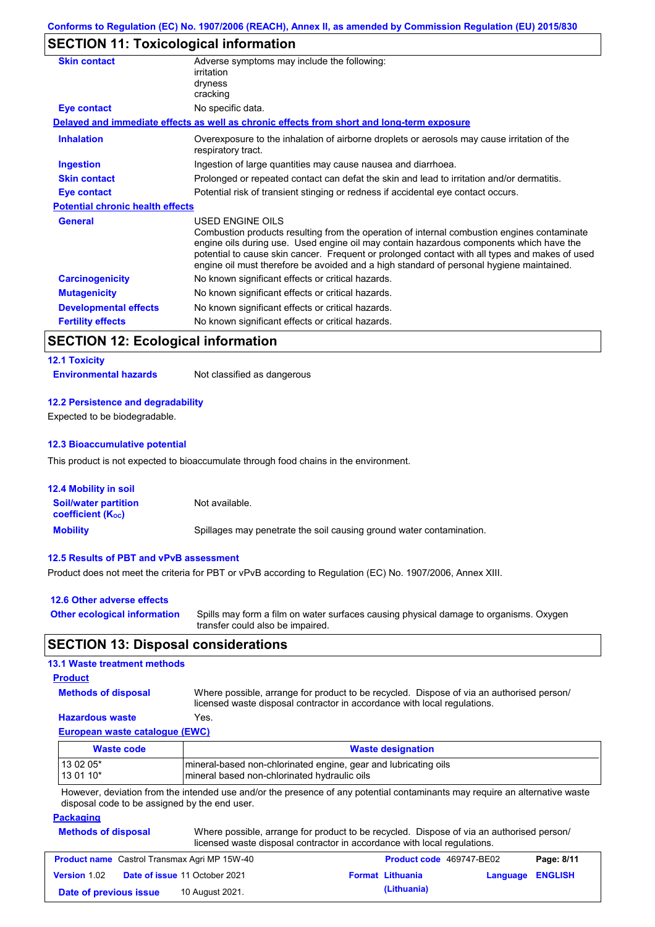## **SECTION 11: Toxicological information**

| Adverse symptoms may include the following:<br>irritation                                                                                                                                                                                                                                                                                                                                                |
|----------------------------------------------------------------------------------------------------------------------------------------------------------------------------------------------------------------------------------------------------------------------------------------------------------------------------------------------------------------------------------------------------------|
| dryness                                                                                                                                                                                                                                                                                                                                                                                                  |
| cracking                                                                                                                                                                                                                                                                                                                                                                                                 |
| No specific data.                                                                                                                                                                                                                                                                                                                                                                                        |
| Delayed and immediate effects as well as chronic effects from short and long-term exposure                                                                                                                                                                                                                                                                                                               |
| Overexposure to the inhalation of airborne droplets or aerosols may cause irritation of the<br>respiratory tract.                                                                                                                                                                                                                                                                                        |
| Ingestion of large quantities may cause nausea and diarrhoea.                                                                                                                                                                                                                                                                                                                                            |
| Prolonged or repeated contact can defat the skin and lead to irritation and/or dermatitis.                                                                                                                                                                                                                                                                                                               |
| Potential risk of transient stinging or redness if accidental eye contact occurs.                                                                                                                                                                                                                                                                                                                        |
| <b>Potential chronic health effects</b>                                                                                                                                                                                                                                                                                                                                                                  |
| USED ENGINE OILS<br>Combustion products resulting from the operation of internal combustion engines contaminate<br>engine oils during use. Used engine oil may contain hazardous components which have the<br>potential to cause skin cancer. Frequent or prolonged contact with all types and makes of used<br>engine oil must therefore be avoided and a high standard of personal hygiene maintained. |
| No known significant effects or critical hazards.                                                                                                                                                                                                                                                                                                                                                        |
| No known significant effects or critical hazards.                                                                                                                                                                                                                                                                                                                                                        |
| No known significant effects or critical hazards.                                                                                                                                                                                                                                                                                                                                                        |
| No known significant effects or critical hazards.                                                                                                                                                                                                                                                                                                                                                        |
|                                                                                                                                                                                                                                                                                                                                                                                                          |

## **SECTION 12: Ecological information**

### **12.1 Toxicity**

**Environmental hazards** Not classified as dangerous

### **12.2 Persistence and degradability**

Expected to be biodegradable.

#### **12.3 Bioaccumulative potential**

This product is not expected to bioaccumulate through food chains in the environment.

| <b>12.4 Mobility in soil</b>                            |                                                                      |
|---------------------------------------------------------|----------------------------------------------------------------------|
| <b>Soil/water partition</b><br><b>coefficient (Koc)</b> | Not available.                                                       |
| <b>Mobility</b>                                         | Spillages may penetrate the soil causing ground water contamination. |

### **12.5 Results of PBT and vPvB assessment**

Product does not meet the criteria for PBT or vPvB according to Regulation (EC) No. 1907/2006, Annex XIII.

| 12.6 Other adverse effects          |                                                                                                                           |
|-------------------------------------|---------------------------------------------------------------------------------------------------------------------------|
| <b>Other ecological information</b> | Spills may form a film on water surfaces causing physical damage to organisms. Oxygen<br>transfer could also be impaired. |

### **SECTION 13: Disposal considerations**

### **13.1 Waste treatment methods**

### **Product**

**Methods of disposal**

Where possible, arrange for product to be recycled. Dispose of via an authorised person/

### **Hazardous waste** Yes.

licensed waste disposal contractor in accordance with local regulations.

### **European waste catalogue (EWC)**

| Waste code | <b>Waste designation</b>                                        |
|------------|-----------------------------------------------------------------|
| 13 02 05*  | mineral-based non-chlorinated engine, gear and lubricating oils |
| 13 01 10*  | Imineral based non-chlorinated hydraulic oils                   |

However, deviation from the intended use and/or the presence of any potential contaminants may require an alternative waste disposal code to be assigned by the end user.

### **Packaging**

| <b>Methods of disposal</b> | licensed waste disposal contractor in accordance with local regulations. | Where possible, arrange for product to be recycled. Dispose of via an authorised person/ |
|----------------------------|--------------------------------------------------------------------------|------------------------------------------------------------------------------------------|

|                        | <b>Product name</b> Castrol Transmax Agri MP 15W-40 | <b>Product code</b> 469747-BE02 |                  | Page: 8/11 |
|------------------------|-----------------------------------------------------|---------------------------------|------------------|------------|
| <b>Version 1.02</b>    | <b>Date of issue 11 October 2021</b>                | <b>Format Lithuania</b>         | Language ENGLISH |            |
| Date of previous issue | 10 August 2021.                                     | (Lithuania)                     |                  |            |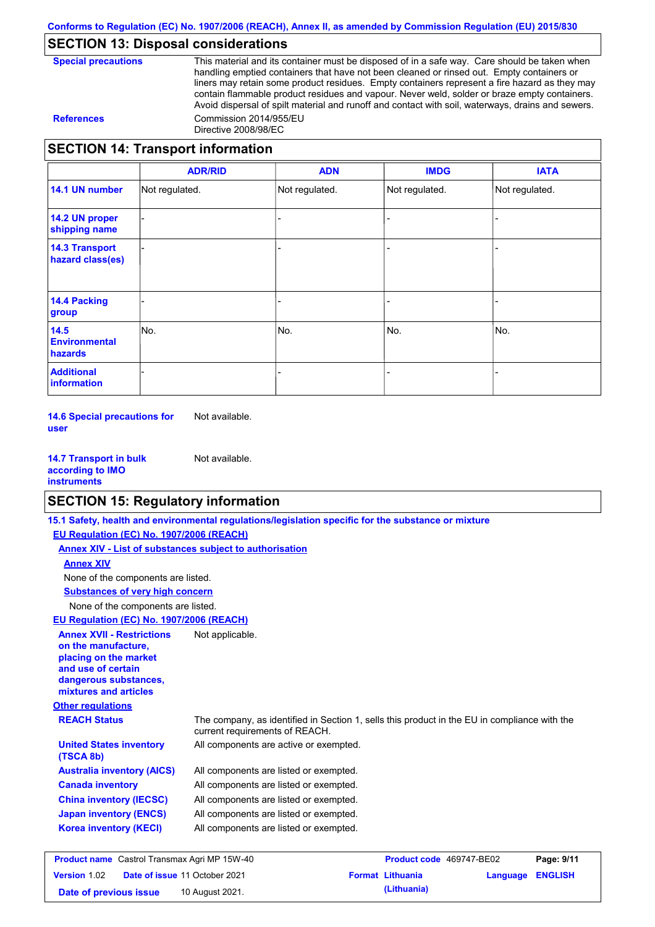## **SECTION 13: Disposal considerations**

| <b>Special precautions</b> |
|----------------------------|
|----------------------------|

This material and its container must be disposed of in a safe way. Care should be taken when handling emptied containers that have not been cleaned or rinsed out. Empty containers or liners may retain some product residues. Empty containers represent a fire hazard as they may contain flammable product residues and vapour. Never weld, solder or braze empty containers. Avoid dispersal of spilt material and runoff and contact with soil, waterways, drains and sewers. **References** Commission 2014/955/EU Directive 2008/98/EC

### **SECTION 14: Transport information**

|                                           | <b>ADR/RID</b> | <b>ADN</b>     | <b>IMDG</b>    | <b>IATA</b>    |
|-------------------------------------------|----------------|----------------|----------------|----------------|
| 14.1 UN number                            | Not regulated. | Not regulated. | Not regulated. | Not regulated. |
| 14.2 UN proper<br>shipping name           |                |                |                |                |
| <b>14.3 Transport</b><br>hazard class(es) |                |                |                |                |
| <b>14.4 Packing</b><br>group              |                |                |                |                |
| 14.5<br><b>Environmental</b><br>hazards   | No.            | No.            | No.            | No.            |
| <b>Additional</b><br>information          |                |                |                |                |

**14.6 Special precautions for user** Not available.

**14.7 Transport in bulk according to IMO instruments** Not available.

## **SECTION 15: Regulatory information**

|                                                                                                                                                          | 15.1 Safety, health and environmental regulations/legislation specific for the substance or mixture                            |                          |          |                |
|----------------------------------------------------------------------------------------------------------------------------------------------------------|--------------------------------------------------------------------------------------------------------------------------------|--------------------------|----------|----------------|
| EU Regulation (EC) No. 1907/2006 (REACH)                                                                                                                 |                                                                                                                                |                          |          |                |
| Annex XIV - List of substances subject to authorisation                                                                                                  |                                                                                                                                |                          |          |                |
| <b>Annex XIV</b>                                                                                                                                         |                                                                                                                                |                          |          |                |
| None of the components are listed.                                                                                                                       |                                                                                                                                |                          |          |                |
| <b>Substances of very high concern</b>                                                                                                                   |                                                                                                                                |                          |          |                |
| None of the components are listed.                                                                                                                       |                                                                                                                                |                          |          |                |
| EU Regulation (EC) No. 1907/2006 (REACH)                                                                                                                 |                                                                                                                                |                          |          |                |
| <b>Annex XVII - Restrictions</b><br>on the manufacture.<br>placing on the market<br>and use of certain<br>dangerous substances,<br>mixtures and articles | Not applicable.                                                                                                                |                          |          |                |
| <b>Other regulations</b>                                                                                                                                 |                                                                                                                                |                          |          |                |
| <b>REACH Status</b>                                                                                                                                      | The company, as identified in Section 1, sells this product in the EU in compliance with the<br>current requirements of REACH. |                          |          |                |
| <b>United States inventory</b><br>(TSCA 8b)                                                                                                              | All components are active or exempted.                                                                                         |                          |          |                |
| <b>Australia inventory (AICS)</b>                                                                                                                        | All components are listed or exempted.                                                                                         |                          |          |                |
| <b>Canada inventory</b>                                                                                                                                  | All components are listed or exempted.                                                                                         |                          |          |                |
| <b>China inventory (IECSC)</b>                                                                                                                           | All components are listed or exempted.                                                                                         |                          |          |                |
| <b>Japan inventory (ENCS)</b>                                                                                                                            | All components are listed or exempted.                                                                                         |                          |          |                |
| <b>Korea inventory (KECI)</b>                                                                                                                            | All components are listed or exempted.                                                                                         |                          |          |                |
| Product name Castrol Transmax Agri MP 15W-40                                                                                                             |                                                                                                                                | Product code 469747-BE02 |          | Page: 9/11     |
| <b>Version 1.02</b>                                                                                                                                      | Date of issue 11 October 2021                                                                                                  | <b>Format Lithuania</b>  | Language | <b>ENGLISH</b> |

**Date of previous issue 10 August 2021. (Lithuania) (Lithuania)**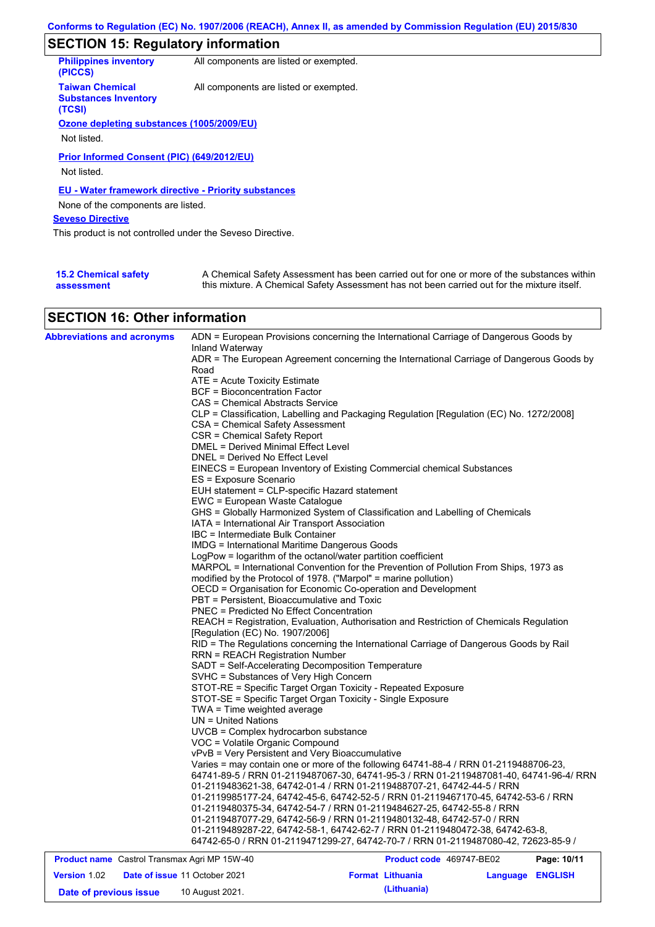# **SECTION 15: Regulatory information**

| <b>Philippines inventory</b><br>(PICCS)                         | All components are listed or exempted. |
|-----------------------------------------------------------------|----------------------------------------|
| <b>Taiwan Chemical</b><br><b>Substances Inventory</b><br>(TCSI) | All components are listed or exempted. |
| Ozone depleting substances (1005/2009/EU)                       |                                        |
|                                                                 |                                        |
| Not listed.                                                     |                                        |
| Prior Informed Consent (PIC) (649/2012/EU)<br>Not listed.       |                                        |
| EU - Water framework directive - Priority substances            |                                        |
| None of the components are listed.                              |                                        |
| <b>Seveso Directive</b>                                         |                                        |
| This product is not controlled under the Seveso Directive.      |                                        |
|                                                                 |                                        |
|                                                                 |                                        |

| <b>15.2 Chemical safety</b> | A Chemical Safety Assessment has been carried out for one or more of the substances within  |  |
|-----------------------------|---------------------------------------------------------------------------------------------|--|
| assessment                  | this mixture. A Chemical Safety Assessment has not been carried out for the mixture itself. |  |

## **SECTION 16: Other information**

| <b>Abbreviations and acronyms</b>                   | ADN = European Provisions concerning the International Carriage of Dangerous Goods by                                                                                         |  |  |  |  |
|-----------------------------------------------------|-------------------------------------------------------------------------------------------------------------------------------------------------------------------------------|--|--|--|--|
|                                                     | Inland Waterway<br>ADR = The European Agreement concerning the International Carriage of Dangerous Goods by                                                                   |  |  |  |  |
|                                                     | Road                                                                                                                                                                          |  |  |  |  |
|                                                     | ATE = Acute Toxicity Estimate                                                                                                                                                 |  |  |  |  |
|                                                     | BCF = Bioconcentration Factor                                                                                                                                                 |  |  |  |  |
|                                                     | CAS = Chemical Abstracts Service                                                                                                                                              |  |  |  |  |
|                                                     | CLP = Classification, Labelling and Packaging Regulation [Regulation (EC) No. 1272/2008]                                                                                      |  |  |  |  |
|                                                     | CSA = Chemical Safety Assessment                                                                                                                                              |  |  |  |  |
|                                                     | CSR = Chemical Safety Report                                                                                                                                                  |  |  |  |  |
|                                                     | DMEL = Derived Minimal Effect Level                                                                                                                                           |  |  |  |  |
|                                                     | DNEL = Derived No Effect Level                                                                                                                                                |  |  |  |  |
|                                                     | EINECS = European Inventory of Existing Commercial chemical Substances                                                                                                        |  |  |  |  |
|                                                     | ES = Exposure Scenario                                                                                                                                                        |  |  |  |  |
|                                                     | EUH statement = CLP-specific Hazard statement                                                                                                                                 |  |  |  |  |
|                                                     | EWC = European Waste Catalogue                                                                                                                                                |  |  |  |  |
|                                                     | GHS = Globally Harmonized System of Classification and Labelling of Chemicals                                                                                                 |  |  |  |  |
|                                                     | IATA = International Air Transport Association                                                                                                                                |  |  |  |  |
|                                                     | IBC = Intermediate Bulk Container                                                                                                                                             |  |  |  |  |
|                                                     | IMDG = International Maritime Dangerous Goods                                                                                                                                 |  |  |  |  |
|                                                     | LogPow = logarithm of the octanol/water partition coefficient                                                                                                                 |  |  |  |  |
|                                                     | MARPOL = International Convention for the Prevention of Pollution From Ships, 1973 as                                                                                         |  |  |  |  |
|                                                     | modified by the Protocol of 1978. ("Marpol" = marine pollution)                                                                                                               |  |  |  |  |
|                                                     | OECD = Organisation for Economic Co-operation and Development                                                                                                                 |  |  |  |  |
|                                                     | PBT = Persistent, Bioaccumulative and Toxic                                                                                                                                   |  |  |  |  |
|                                                     | <b>PNEC = Predicted No Effect Concentration</b>                                                                                                                               |  |  |  |  |
|                                                     | REACH = Registration, Evaluation, Authorisation and Restriction of Chemicals Regulation                                                                                       |  |  |  |  |
|                                                     | [Regulation (EC) No. 1907/2006]                                                                                                                                               |  |  |  |  |
|                                                     | RID = The Regulations concerning the International Carriage of Dangerous Goods by Rail                                                                                        |  |  |  |  |
|                                                     | <b>RRN = REACH Registration Number</b>                                                                                                                                        |  |  |  |  |
|                                                     | SADT = Self-Accelerating Decomposition Temperature                                                                                                                            |  |  |  |  |
|                                                     | SVHC = Substances of Very High Concern                                                                                                                                        |  |  |  |  |
|                                                     | STOT-RE = Specific Target Organ Toxicity - Repeated Exposure                                                                                                                  |  |  |  |  |
|                                                     | STOT-SE = Specific Target Organ Toxicity - Single Exposure                                                                                                                    |  |  |  |  |
|                                                     | TWA = Time weighted average                                                                                                                                                   |  |  |  |  |
|                                                     | $UN = United Nations$                                                                                                                                                         |  |  |  |  |
|                                                     | $UVCB = Complex\;hydrocarbon\; substance$                                                                                                                                     |  |  |  |  |
|                                                     | VOC = Volatile Organic Compound<br>vPvB = Very Persistent and Very Bioaccumulative                                                                                            |  |  |  |  |
|                                                     |                                                                                                                                                                               |  |  |  |  |
|                                                     | Varies = may contain one or more of the following 64741-88-4 / RRN 01-2119488706-23,<br>64741-89-5 / RRN 01-2119487067-30, 64741-95-3 / RRN 01-2119487081-40, 64741-96-4/ RRN |  |  |  |  |
|                                                     | 01-2119483621-38, 64742-01-4 / RRN 01-2119488707-21, 64742-44-5 / RRN                                                                                                         |  |  |  |  |
|                                                     | 01-2119985177-24, 64742-45-6, 64742-52-5 / RRN 01-2119467170-45, 64742-53-6 / RRN                                                                                             |  |  |  |  |
|                                                     | 01-2119480375-34, 64742-54-7 / RRN 01-2119484627-25, 64742-55-8 / RRN                                                                                                         |  |  |  |  |
|                                                     | 01-2119487077-29, 64742-56-9 / RRN 01-2119480132-48, 64742-57-0 / RRN                                                                                                         |  |  |  |  |
|                                                     | 01-2119489287-22, 64742-58-1, 64742-62-7 / RRN 01-2119480472-38, 64742-63-8,                                                                                                  |  |  |  |  |
|                                                     | 64742-65-0 / RRN 01-2119471299-27, 64742-70-7 / RRN 01-2119487080-42, 72623-85-9 /                                                                                            |  |  |  |  |
|                                                     |                                                                                                                                                                               |  |  |  |  |
| <b>Product name</b> Castrol Transmax Agri MP 15W-40 | Product code 469747-BE02<br>Page: 10/11                                                                                                                                       |  |  |  |  |
|                                                     |                                                                                                                                                                               |  |  |  |  |

| <b>Version 1.02</b>    | <b>Date of issue 11 October 2021</b> | <b>Format Lithuania</b> | <b>Language ENGLISH</b> |
|------------------------|--------------------------------------|-------------------------|-------------------------|
| Date of previous issue | 10 August 2021.                      | (Lithuania)             |                         |